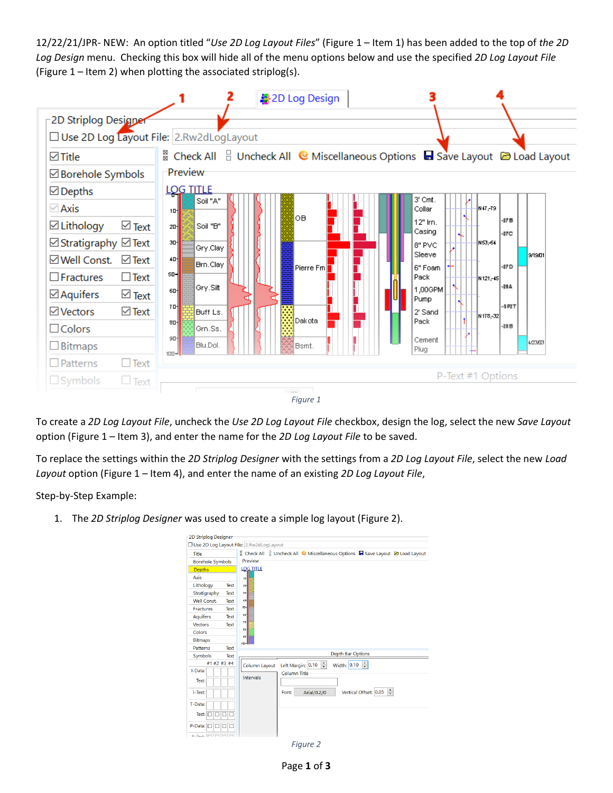12/22/21/JPR- NEW: An option titled "*Use 2D Log Layout Files*" [\(Figure 1](#page-0-0) – Item 1) has been added to the top of *the 2D Log Design* menu. Checking this box will hide all of the menu options below and use the specified *2D Log Layout File* (Figure  $1$  – Item 2) when plotting the associated striplog(s).



<span id="page-0-0"></span>To create a *2D Log Layout File*, uncheck the *Use 2D Log Layout File* checkbox, design the log, select the new *Save Layout* option [\(Figure 1](#page-0-0) – Item 3), and enter the name for the *2D Log Layout File* to be saved.

To replace the settings within the *2D Striplog Designer* with the settings from a *2D Log Layout File*, select the new *Load Layout* option [\(Figure 1](#page-0-0) – Item 4), and enter the name of an existing *2D Log Layout File*,

Step-by-Step Example:

<span id="page-0-1"></span>1. The *2D Striplog Designer* was used to create a simple log layout [\(Figure 2\)](#page-0-1).

| 2D Striplog Designer                          |                                                                                  |
|-----------------------------------------------|----------------------------------------------------------------------------------|
| Use 2D Log Layout File: 2.Rw2dLogLayout       |                                                                                  |
| Title                                         | & Check All & Uncheck All & Miscellaneous Options & Save Layout & Load Layout    |
| <b>Borehole Symbols</b>                       | Preview                                                                          |
| <b>Depths</b>                                 | <b>LOG TITLE</b>                                                                 |
| Axis                                          | $10 -$                                                                           |
| Lithology<br>Text                             | 20                                                                               |
| Stratigraphy<br>Text                          | 30-                                                                              |
| <b>Well Const.</b><br>Text                    | 40                                                                               |
| <b>Fractures</b><br>Text                      | so-                                                                              |
| <b>Aquifers</b><br>Text                       | ca-                                                                              |
| <b>Vectors</b><br>Text                        | 70-                                                                              |
| Colors                                        | $80-$<br>90 <sub>1</sub>                                                         |
| <b>Bitmaps</b>                                | snn-l                                                                            |
| Patterns<br>Text                              |                                                                                  |
| Symbols<br>Text                               | <b>Depth Bar Options</b>                                                         |
| #1 #2 #3 #4                                   | $\left  \cdot \right $<br>÷<br>Width: 0.10<br>Left Margin: 0.10<br>Column Layout |
| I-Data:                                       | <b>Column Title</b>                                                              |
| Text:                                         | Intervals                                                                        |
|                                               | $\div$                                                                           |
| I-Text:                                       | Vertical Offset: 0.05<br>Arial/0.2/0<br>Font:                                    |
| T-Data:                                       |                                                                                  |
| Text: $\Box$ $\Box$ $\Box$ $\Box$             |                                                                                  |
|                                               |                                                                                  |
| P-Data: $\Box$ $\Box$ $\Box$                  |                                                                                  |
| $D_{\text{-Tav+}}$ $\Box \Box \Box \Box \Box$ |                                                                                  |

*Figure 2*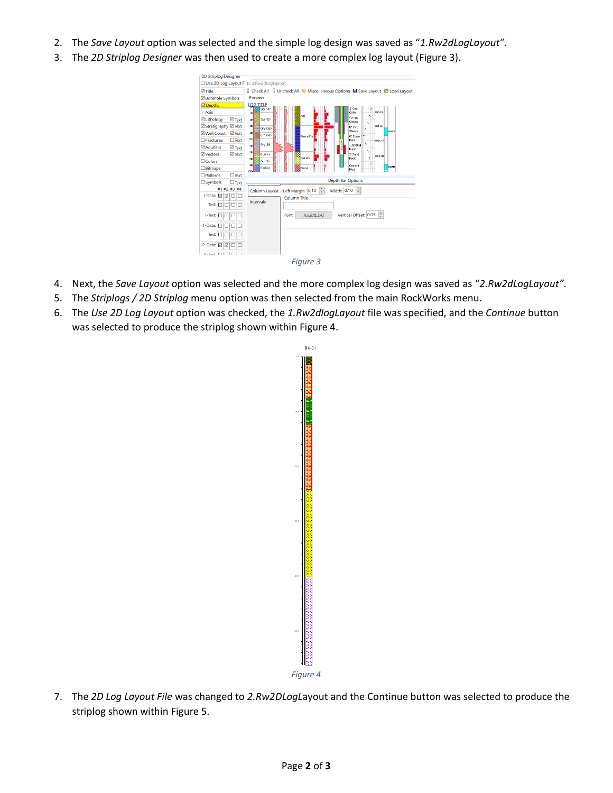- 2. The *Save Layout* option was selected and the simple log design was saved as "*1.Rw2dLogLayout"*.
- 3. The *2D Striplog Designer* was then used to create a more complex log layout [\(Figure 3\)](#page-1-0).



- <span id="page-1-0"></span>4. Next, the *Save Layout* option was selected and the more complex log design was saved as "*2.Rw2dLogLayout"*.
- 5. The *Striplogs / 2D Striplog* menu option was then selected from the main RockWorks menu.
- 6. The *Use 2D Log Layout* option was checked, the *1.Rw2dlogLayout* file was specified, and the *Continue* button was selected to produce the striplog shown within [Figure 4.](#page-1-1)



<span id="page-1-1"></span>7. The *2D Log Layout File* was changed to *2.Rw2DLogL*ayout and the Continue button was selected to produce the striplog shown within [Figure 5.](#page-2-0)